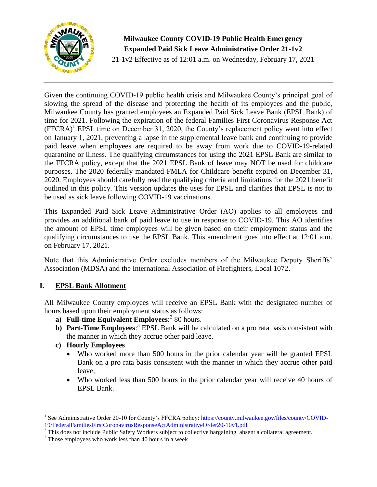

**Milwaukee County COVID-19 Public Health Emergency Expanded Paid Sick Leave Administrative Order 21-1v2**

21-1v2 Effective as of 12:01 a.m. on Wednesday, February 17, 2021

Given the continuing COVID-19 public health crisis and Milwaukee County's principal goal of slowing the spread of the disease and protecting the health of its employees and the public, Milwaukee County has granted employees an Expanded Paid Sick Leave Bank (EPSL Bank) of time for 2021. Following the expiration of the federal Families First Coronavirus Response Act  $(FFCRA)^1$  EPSL time on December 31, 2020, the County's replacement policy went into effect on January 1, 2021, preventing a lapse in the supplemental leave bank and continuing to provide paid leave when employees are required to be away from work due to COVID-19-related quarantine or illness. The qualifying circumstances for using the 2021 EPSL Bank are similar to the FFCRA policy, except that the 2021 EPSL Bank of leave may NOT be used for childcare purposes. The 2020 federally mandated FMLA for Childcare benefit expired on December 31, 2020. Employees should carefully read the qualifying criteria and limitations for the 2021 benefit outlined in this policy. This version updates the uses for EPSL and clarifies that EPSL is not to be used as sick leave following COVID-19 vaccinations.

This Expanded Paid Sick Leave Administrative Order (AO) applies to all employees and provides an additional bank of paid leave to use in response to COVID-19. This AO identifies the amount of EPSL time employees will be given based on their employment status and the qualifying circumstances to use the EPSL Bank. This amendment goes into effect at 12:01 a.m. on February 17, 2021.

Note that this Administrative Order excludes members of the Milwaukee Deputy Sheriffs' Association (MDSA) and the International Association of Firefighters, Local 1072.

# **I. EPSL Bank Allotment**

All Milwaukee County employees will receive an EPSL Bank with the designated number of hours based upon their employment status as follows:

- **a) Full-time Equivalent Employees**: 2 80 hours.
- **b)** Part-Time Employees:<sup>3</sup> EPSL Bank will be calculated on a pro rata basis consistent with the manner in which they accrue other paid leave.
- **c) Hourly Employees**

 $\overline{\phantom{a}}$ 

- Who worked more than 500 hours in the prior calendar year will be granted EPSL Bank on a pro rata basis consistent with the manner in which they accrue other paid leave;
- Who worked less than 500 hours in the prior calendar year will receive 40 hours of EPSL Bank.

<sup>&</sup>lt;sup>1</sup> See Administrative Order 20-10 for County's FFCRA policy: [https://county.milwaukee.gov/files/county/COVID-](https://county.milwaukee.gov/files/county/COVID-19/FederalFamiliesFirstCoronavirusResponseActAdministrativeOrder20-10v1.pdf)[19/FederalFamiliesFirstCoronavirusResponseActAdministrativeOrder20-10v1.pdf](https://county.milwaukee.gov/files/county/COVID-19/FederalFamiliesFirstCoronavirusResponseActAdministrativeOrder20-10v1.pdf)

 $2$  This does not include Public Safety Workers subject to collective bargaining, absent a collateral agreement.

<sup>&</sup>lt;sup>3</sup> Those employees who work less than 40 hours in a week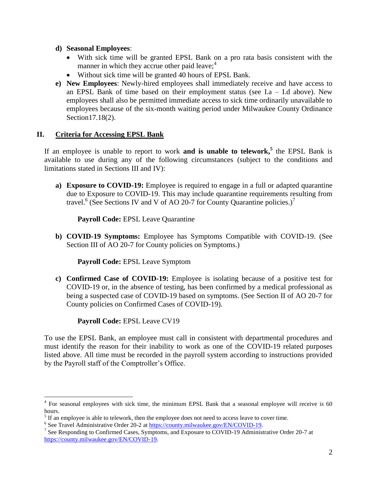#### **d) Seasonal Employees**:

- With sick time will be granted EPSL Bank on a pro rata basis consistent with the manner in which they accrue other paid leave; $4$
- Without sick time will be granted 40 hours of EPSL Bank.
- **e) New Employees**: Newly-hired employees shall immediately receive and have access to an EPSL Bank of time based on their employment status (see  $I.a - I.d$  above). New employees shall also be permitted immediate access to sick time ordinarily unavailable to employees because of the six-month waiting period under Milwaukee County Ordinance Section17.18(2).

## **II. Criteria for Accessing EPSL Bank**

If an employee is unable to report to work **and is unable to telework, 5** the EPSL Bank is available to use during any of the following circumstances (subject to the conditions and limitations stated in Sections III and IV):

**a) Exposure to COVID-19:** Employee is required to engage in a full or adapted quarantine due to Exposure to COVID-19. This may include quarantine requirements resulting from travel.<sup>6</sup> (See Sections IV and V of AO 20-7 for County Quarantine policies.)<sup>7</sup>

**Payroll Code:** EPSL Leave Quarantine

**b) COVID-19 Symptoms:** Employee has Symptoms Compatible with COVID-19. (See Section III of AO 20-7 for County policies on Symptoms.)

**Payroll Code:** EPSL Leave Symptom

**c) Confirmed Case of COVID-19:** Employee is isolating because of a positive test for COVID-19 or, in the absence of testing, has been confirmed by a medical professional as being a suspected case of COVID-19 based on symptoms. (See Section II of AO 20-7 for County policies on Confirmed Cases of COVID-19).

**Payroll Code:** EPSL Leave CV19

To use the EPSL Bank, an employee must call in consistent with departmental procedures and must identify the reason for their inability to work as one of the COVID-19 related purposes listed above. All time must be recorded in the payroll system according to instructions provided by the Payroll staff of the Comptroller's Office.

<sup>&</sup>lt;sup>4</sup> For seasonal employees with sick time, the minimum EPSL Bank that a seasonal employee will receive is 60 hours.

 $<sup>5</sup>$  If an employee is able to telework, then the employee does not need to access leave to cover time.</sup>

<sup>&</sup>lt;sup>6</sup> See Travel Administrative Order 20-2 at [https://county.milwaukee.gov/EN/COVID-19.](https://county.milwaukee.gov/EN/COVID-19)

<sup>&</sup>lt;sup>7</sup> See Responding to Confirmed Cases, Symptoms, and Exposure to COVID-19 Administrative Order 20-7 at [https://county.milwaukee.gov/EN/COVID-19.](https://county.milwaukee.gov/EN/COVID-19)